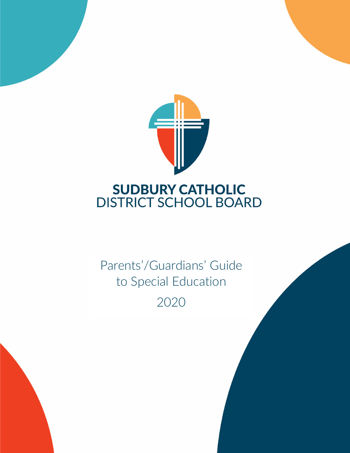

Parents'/Guardians' Guide to Special Education 2020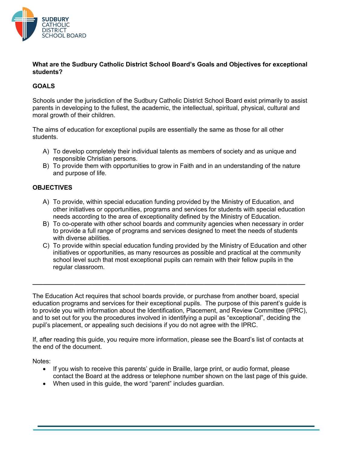

## **What are the Sudbury Catholic District School Board's Goals and Objectives for exceptional students?**

## **GOALS**

Schools under the jurisdiction of the Sudbury Catholic District School Board exist primarily to assist parents in developing to the fullest, the academic, the intellectual, spiritual, physical, cultural and moral growth of their children.

The aims of education for exceptional pupils are essentially the same as those for all other students.

- A) To develop completely their individual talents as members of society and as unique and responsible Christian persons.
- B) To provide them with opportunities to grow in Faith and in an understanding of the nature and purpose of life.

## **OBJECTIVES**

- A) To provide, within special education funding provided by the Ministry of Education, and other initiatives or opportunities, programs and services for students with special education needs according to the area of exceptionality defined by the Ministry of Education.
- B) To co-operate with other school boards and community agencies when necessary in order to provide a full range of programs and services designed to meet the needs of students with diverse abilities.
- C) To provide within special education funding provided by the Ministry of Education and other initiatives or opportunities, as many resources as possible and practical at the community school level such that most exceptional pupils can remain with their fellow pupils in the regular classroom.

The Education Act requires that school boards provide, or purchase from another board, special education programs and services for their exceptional pupils. The purpose of this parent's guide is to provide you with information about the Identification, Placement, and Review Committee (IPRC), and to set out for you the procedures involved in identifying a pupil as "exceptional", deciding the pupil's placement, or appealing such decisions if you do not agree with the IPRC.

**\_\_\_\_\_\_\_\_\_\_\_\_\_\_\_\_\_\_\_\_\_\_\_\_\_\_\_\_\_\_\_\_\_\_\_\_\_\_\_\_\_\_\_\_\_\_\_\_\_\_\_\_\_\_\_\_\_\_\_\_\_\_\_\_\_\_\_\_\_\_\_\_\_\_\_\_\_\_**

If, after reading this guide, you require more information, please see the Board's list of contacts at the end of the document.

Notes:

- If you wish to receive this parents' guide in Braille, large print, or audio format, please contact the Board at the address or telephone number shown on the last page of this guide.
- When used in this guide, the word "parent" includes guardian.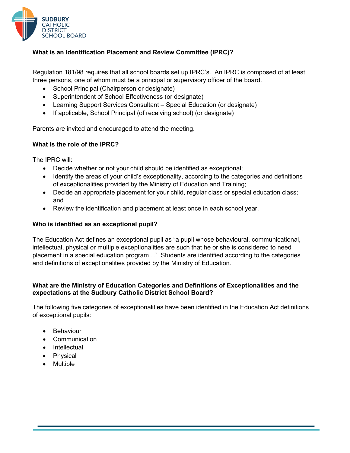

## **What is an Identification Placement and Review Committee (IPRC)?**

Regulation 181/98 requires that all school boards set up IPRC's. An IPRC is composed of at least three persons, one of whom must be a principal or supervisory officer of the board.

- School Principal (Chairperson or designate)
- Superintendent of School Effectiveness (or designate)
- Learning Support Services Consultant Special Education (or designate)
- If applicable, School Principal (of receiving school) (or designate)

Parents are invited and encouraged to attend the meeting.

## **What is the role of the IPRC?**

The IPRC will:

- Decide whether or not your child should be identified as exceptional;
- Identify the areas of your child's exceptionality, according to the categories and definitions of exceptionalities provided by the Ministry of Education and Training;
- Decide an appropriate placement for your child, regular class or special education class; and
- Review the identification and placement at least once in each school year.

## **Who is identified as an exceptional pupil?**

The Education Act defines an exceptional pupil as "a pupil whose behavioural, communicational, intellectual, physical or multiple exceptionalities are such that he or she is considered to need placement in a special education program…" Students are identified according to the categories and definitions of exceptionalities provided by the Ministry of Education.

## **What are the Ministry of Education Categories and Definitions of Exceptionalities and the expectations at the Sudbury Catholic District School Board?**

The following five categories of exceptionalities have been identified in the Education Act definitions of exceptional pupils:

- Behaviour
- Communication
- Intellectual
- Physical
- Multiple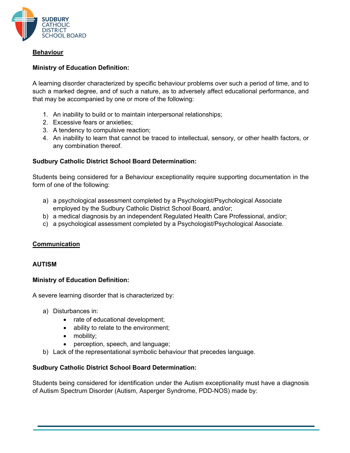

## **Behaviour**

## **Ministry of Education Definition:**

A learning disorder characterized by specific behaviour problems over such a period of time, and to such a marked degree, and of such a nature, as to adversely affect educational performance, and that may be accompanied by one or more of the following:

- 1. An inability to build or to maintain interpersonal relationships;
- 2. Excessive fears or anxieties;
- 3. A tendency to compulsive reaction;
- 4. An inability to learn that cannot be traced to intellectual, sensory, or other health factors, or any combination thereof.

## **Sudbury Catholic District School Board Determination:**

Students being considered for a Behaviour exceptionality require supporting documentation in the form of one of the following:

- a) a psychological assessment completed by a Psychologist/Psychological Associate employed by the Sudbury Catholic District School Board, and/or;
- b) a medical diagnosis by an independent Regulated Health Care Professional, and/or;
- c) a psychological assessment completed by a Psychologist/Psychological Associate.

## **Communication**

## **AUTISM**

## **Ministry of Education Definition:**

A severe learning disorder that is characterized by:

- a) Disturbances in:
	- rate of educational development;
	- ability to relate to the environment;
	- mobility;
	- perception, speech, and language;
- b) Lack of the representational symbolic behaviour that precedes language.

## **Sudbury Catholic District School Board Determination:**

Students being considered for identification under the Autism exceptionality must have a diagnosis of Autism Spectrum Disorder (Autism, Asperger Syndrome, PDD-NOS) made by: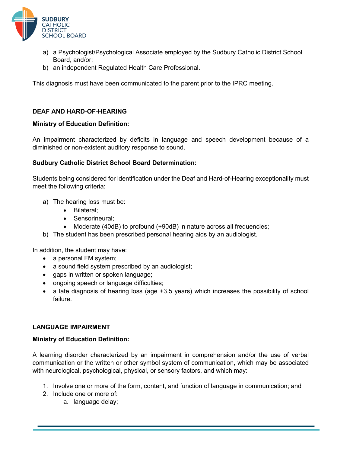

- a) a Psychologist/Psychological Associate employed by the Sudbury Catholic District School Board, and/or;
- b) an independent Regulated Health Care Professional.

This diagnosis must have been communicated to the parent prior to the IPRC meeting.

## **DEAF AND HARD-OF-HEARING**

## **Ministry of Education Definition:**

An impairment characterized by deficits in language and speech development because of a diminished or non-existent auditory response to sound.

## **Sudbury Catholic District School Board Determination:**

Students being considered for identification under the Deaf and Hard-of-Hearing exceptionality must meet the following criteria:

- a) The hearing loss must be:
	- Bilateral;
	- Sensorineural:
	- Moderate (40dB) to profound (+90dB) in nature across all frequencies;
- b) The student has been prescribed personal hearing aids by an audiologist.

In addition, the student may have:

- a personal FM system;
- a sound field system prescribed by an audiologist;
- gaps in written or spoken language;
- ongoing speech or language difficulties;
- a late diagnosis of hearing loss (age +3.5 years) which increases the possibility of school failure.

## **LANGUAGE IMPAIRMENT**

## **Ministry of Education Definition:**

A learning disorder characterized by an impairment in comprehension and/or the use of verbal communication or the written or other symbol system of communication, which may be associated with neurological, psychological, physical, or sensory factors, and which may:

- 1. Involve one or more of the form, content, and function of language in communication; and
- 2. Include one or more of:
	- a. language delay;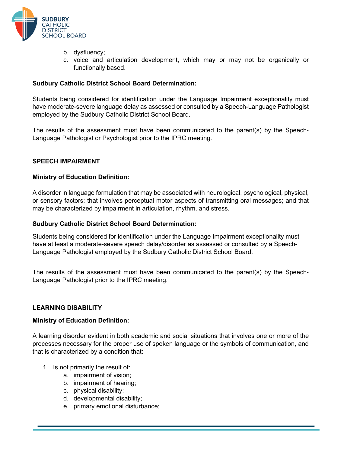

- b. dysfluency;
- c. voice and articulation development, which may or may not be organically or functionally based.

## **Sudbury Catholic District School Board Determination:**

Students being considered for identification under the Language Impairment exceptionality must have moderate-severe language delay as assessed or consulted by a Speech-Language Pathologist employed by the Sudbury Catholic District School Board.

The results of the assessment must have been communicated to the parent(s) by the Speech-Language Pathologist or Psychologist prior to the IPRC meeting.

## **SPEECH IMPAIRMENT**

## **Ministry of Education Definition:**

A disorder in language formulation that may be associated with neurological, psychological, physical, or sensory factors; that involves perceptual motor aspects of transmitting oral messages; and that may be characterized by impairment in articulation, rhythm, and stress.

## **Sudbury Catholic District School Board Determination:**

Students being considered for identification under the Language Impairment exceptionality must have at least a moderate-severe speech delay/disorder as assessed or consulted by a Speech-Language Pathologist employed by the Sudbury Catholic District School Board.

The results of the assessment must have been communicated to the parent(s) by the Speech-Language Pathologist prior to the IPRC meeting.

#### **LEARNING DISABILITY**

#### **Ministry of Education Definition:**

A learning disorder evident in both academic and social situations that involves one or more of the processes necessary for the proper use of spoken language or the symbols of communication, and that is characterized by a condition that:

- 1. Is not primarily the result of:
	- a. impairment of vision;
	- b. impairment of hearing;
	- c. physical disability;
	- d. developmental disability;
	- e. primary emotional disturbance;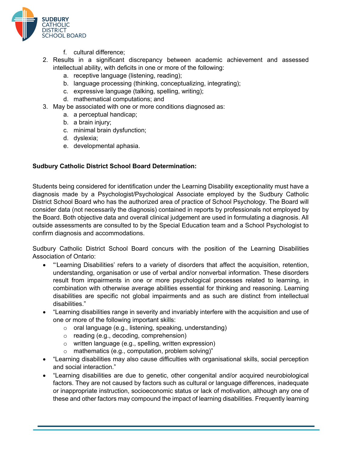

- f. cultural difference;
- 2. Results in a significant discrepancy between academic achievement and assessed intellectual ability, with deficits in one or more of the following:
	- a. receptive language (listening, reading);
	- b. language processing (thinking, conceptualizing, integrating);
	- c. expressive language (talking, spelling, writing);
	- d. mathematical computations; and
- 3. May be associated with one or more conditions diagnosed as:
	- a. a perceptual handicap;
	- b. a brain injury;
	- c. minimal brain dysfunction;
	- d. dyslexia;
	- e. developmental aphasia.

## **Sudbury Catholic District School Board Determination:**

Students being considered for identification under the Learning Disability exceptionality must have a diagnosis made by a Psychologist/Psychological Associate employed by the Sudbury Catholic District School Board who has the authorized area of practice of School Psychology. The Board will consider data (not necessarily the diagnosis) contained in reports by professionals not employed by the Board. Both objective data and overall clinical judgement are used in formulating a diagnosis. All outside assessments are consulted to by the Special Education team and a School Psychologist to confirm diagnosis and accommodations.

Sudbury Catholic District School Board concurs with the position of the Learning Disabilities Association of Ontario:

- "'Learning Disabilities' refers to a variety of disorders that affect the acquisition, retention, understanding, organisation or use of verbal and/or nonverbal information. These disorders result from impairments in one or more psychological processes related to learning, in combination with otherwise average abilities essential for thinking and reasoning. Learning disabilities are specific not global impairments and as such are distinct from intellectual disabilities."
- "Learning disabilities range in severity and invariably interfere with the acquisition and use of one or more of the following important skills:
	- o oral language (e.g., listening, speaking, understanding)
	- o reading (e.g., decoding, comprehension)
	- o written language (e.g., spelling, written expression)
	- o mathematics (e.g., computation, problem solving)"
- "Learning disabilities may also cause difficulties with organisational skills, social perception and social interaction."
- "Learning disabilities are due to genetic, other congenital and/or acquired neurobiological factors. They are not caused by factors such as cultural or language differences, inadequate or inappropriate instruction, socioeconomic status or lack of motivation, although any one of these and other factors may compound the impact of learning disabilities. Frequently learning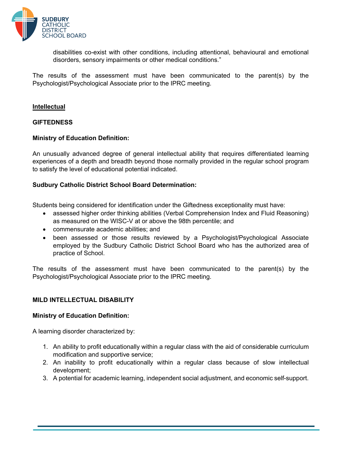

disabilities co-exist with other conditions, including attentional, behavioural and emotional disorders, sensory impairments or other medical conditions."

The results of the assessment must have been communicated to the parent(s) by the Psychologist/Psychological Associate prior to the IPRC meeting.

## **Intellectual**

#### **GIFTEDNESS**

## **Ministry of Education Definition:**

An unusually advanced degree of general intellectual ability that requires differentiated learning experiences of a depth and breadth beyond those normally provided in the regular school program to satisfy the level of educational potential indicated.

## **Sudbury Catholic District School Board Determination:**

Students being considered for identification under the Giftedness exceptionality must have:

- assessed higher order thinking abilities (Verbal Comprehension Index and Fluid Reasoning) as measured on the WISC-V at or above the 98th percentile; and
- commensurate academic abilities; and
- been assessed or those results reviewed by a Psychologist/Psychological Associate employed by the Sudbury Catholic District School Board who has the authorized area of practice of School.

The results of the assessment must have been communicated to the parent(s) by the Psychologist/Psychological Associate prior to the IPRC meeting.

## **MILD INTELLECTUAL DISABILITY**

#### **Ministry of Education Definition:**

A learning disorder characterized by:

- 1. An ability to profit educationally within a regular class with the aid of considerable curriculum modification and supportive service;
- 2. An inability to profit educationally within a regular class because of slow intellectual development;
- 3. A potential for academic learning, independent social adjustment, and economic self-support.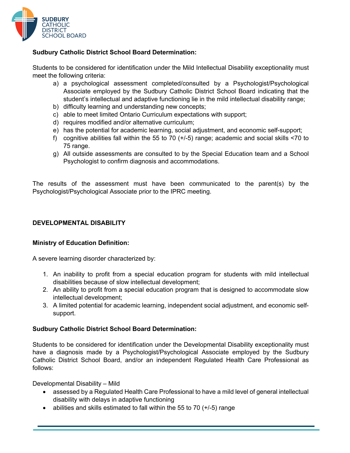

## **Sudbury Catholic District School Board Determination:**

Students to be considered for identification under the Mild Intellectual Disability exceptionality must meet the following criteria:

- a) a psychological assessment completed/consulted by a Psychologist/Psychological Associate employed by the Sudbury Catholic District School Board indicating that the student's intellectual and adaptive functioning lie in the mild intellectual disability range;
- b) difficulty learning and understanding new concepts;
- c) able to meet limited Ontario Curriculum expectations with support;
- d) requires modified and/or alternative curriculum;
- e) has the potential for academic learning, social adjustment, and economic self-support;
- f) cognitive abilities fall within the 55 to 70 (+/-5) range; academic and social skills <70 to 75 range.
- g) All outside assessments are consulted to by the Special Education team and a School Psychologist to confirm diagnosis and accommodations.

The results of the assessment must have been communicated to the parent(s) by the Psychologist/Psychological Associate prior to the IPRC meeting.

## **DEVELOPMENTAL DISABILITY**

## **Ministry of Education Definition:**

A severe learning disorder characterized by:

- 1. An inability to profit from a special education program for students with mild intellectual disabilities because of slow intellectual development;
- 2. An ability to profit from a special education program that is designed to accommodate slow intellectual development;
- 3. A limited potential for academic learning, independent social adjustment, and economic selfsupport.

## **Sudbury Catholic District School Board Determination:**

Students to be considered for identification under the Developmental Disability exceptionality must have a diagnosis made by a Psychologist/Psychological Associate employed by the Sudbury Catholic District School Board, and/or an independent Regulated Health Care Professional as follows:

Developmental Disability – Mild

- assessed by a Regulated Health Care Professional to have a mild level of general intellectual disability with delays in adaptive functioning
- abilities and skills estimated to fall within the 55 to 70  $(+/-5)$  range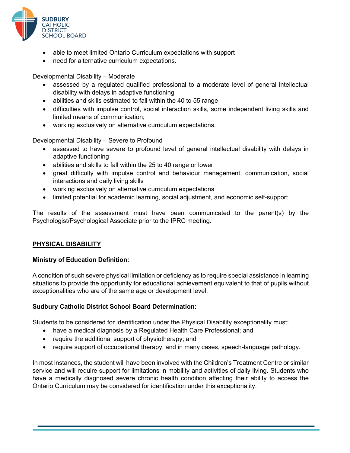

- able to meet limited Ontario Curriculum expectations with support
- need for alternative curriculum expectations.

Developmental Disability – Moderate

- assessed by a regulated qualified professional to a moderate level of general intellectual disability with delays in adaptive functioning
- abilities and skills estimated to fall within the 40 to 55 range
- difficulties with impulse control, social interaction skills, some independent living skills and limited means of communication;
- working exclusively on alternative curriculum expectations.

Developmental Disability – Severe to Profound

- assessed to have severe to profound level of general intellectual disability with delays in adaptive functioning
- abilities and skills to fall within the 25 to 40 range or lower
- great difficulty with impulse control and behaviour management, communication, social interactions and daily living skills
- working exclusively on alternative curriculum expectations
- limited potential for academic learning, social adjustment, and economic self-support.

The results of the assessment must have been communicated to the parent(s) by the Psychologist/Psychological Associate prior to the IPRC meeting.

## **PHYSICAL DISABILITY**

## **Ministry of Education Definition:**

A condition of such severe physical limitation or deficiency as to require special assistance in learning situations to provide the opportunity for educational achievement equivalent to that of pupils without exceptionalities who are of the same age or development level.

## **Sudbury Catholic District School Board Determination:**

Students to be considered for identification under the Physical Disability exceptionality must:

- have a medical diagnosis by a Regulated Health Care Professional; and
- require the additional support of physiotherapy; and
- require support of occupational therapy, and in many cases, speech-language pathology.

In most instances, the student will have been involved with the Children's Treatment Centre or similar service and will require support for limitations in mobility and activities of daily living. Students who have a medically diagnosed severe chronic health condition affecting their ability to access the Ontario Curriculum may be considered for identification under this exceptionality.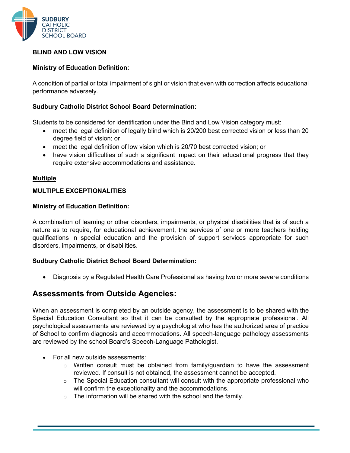

## **BLIND AND LOW VISION**

## **Ministry of Education Definition:**

A condition of partial or total impairment of sight or vision that even with correction affects educational performance adversely.

## **Sudbury Catholic District School Board Determination:**

Students to be considered for identification under the Bind and Low Vision category must:

- meet the legal definition of legally blind which is 20/200 best corrected vision or less than 20 degree field of vision; or
- meet the legal definition of low vision which is 20/70 best corrected vision; or
- have vision difficulties of such a significant impact on their educational progress that they require extensive accommodations and assistance.

#### **Multiple**

## **MULTIPLE EXCEPTIONALITIES**

## **Ministry of Education Definition:**

A combination of learning or other disorders, impairments, or physical disabilities that is of such a nature as to require, for educational achievement, the services of one or more teachers holding qualifications in special education and the provision of support services appropriate for such disorders, impairments, or disabilities.

## **Sudbury Catholic District School Board Determination:**

• Diagnosis by a Regulated Health Care Professional as having two or more severe conditions

## **Assessments from Outside Agencies:**

When an assessment is completed by an outside agency, the assessment is to be shared with the Special Education Consultant so that it can be consulted by the appropriate professional. All psychological assessments are reviewed by a psychologist who has the authorized area of practice of School to confirm diagnosis and accommodations. All speech-language pathology assessments are reviewed by the school Board's Speech-Language Pathologist.

- For all new outside assessments:
	- $\circ$  Written consult must be obtained from family/quardian to have the assessment reviewed. If consult is not obtained, the assessment cannot be accepted.
	- $\circ$  The Special Education consultant will consult with the appropriate professional who will confirm the exceptionality and the accommodations.
	- $\circ$  The information will be shared with the school and the family.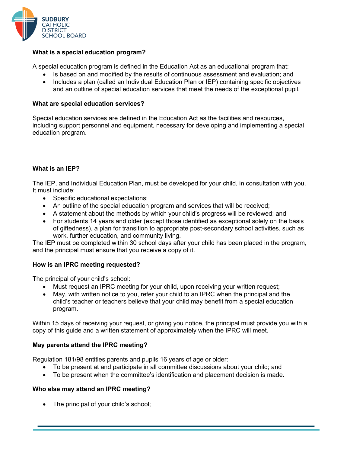

## **What is a special education program?**

A special education program is defined in the Education Act as an educational program that:

- Is based on and modified by the results of continuous assessment and evaluation; and
- Includes a plan (called an Individual Education Plan or IEP) containing specific objectives and an outline of special education services that meet the needs of the exceptional pupil.

#### **What are special education services?**

Special education services are defined in the Education Act as the facilities and resources, including support personnel and equipment, necessary for developing and implementing a special education program.

## **What is an IEP?**

The IEP, and Individual Education Plan, must be developed for your child, in consultation with you. It must include:

- Specific educational expectations;
- An outline of the special education program and services that will be received;
- A statement about the methods by which your child's progress will be reviewed; and
- For students 14 years and older (except those identified as exceptional solely on the basis of giftedness), a plan for transition to appropriate post-secondary school activities, such as work, further education, and community living.

The IEP must be completed within 30 school days after your child has been placed in the program, and the principal must ensure that you receive a copy of it.

## **How is an IPRC meeting requested?**

The principal of your child's school:

- Must request an IPRC meeting for your child, upon receiving your written request;
- May, with written notice to you, refer your child to an IPRC when the principal and the child's teacher or teachers believe that your child may benefit from a special education program.

Within 15 days of receiving your request, or giving you notice, the principal must provide you with a copy of this guide and a written statement of approximately when the IPRC will meet.

#### **May parents attend the IPRC meeting?**

Regulation 181/98 entitles parents and pupils 16 years of age or older:

- To be present at and participate in all committee discussions about your child; and
- To be present when the committee's identification and placement decision is made.

## **Who else may attend an IPRC meeting?**

• The principal of your child's school;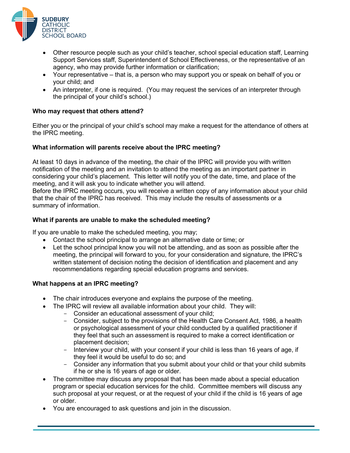

- Other resource people such as your child's teacher, school special education staff, Learning Support Services staff, Superintendent of School Effectiveness, or the representative of an agency, who may provide further information or clarification;
- Your representative that is, a person who may support you or speak on behalf of you or your child; and
- An interpreter, if one is required. (You may request the services of an interpreter through the principal of your child's school.)

## **Who may request that others attend?**

Either you or the principal of your child's school may make a request for the attendance of others at the IPRC meeting.

## **What information will parents receive about the IPRC meeting?**

At least 10 days in advance of the meeting, the chair of the IPRC will provide you with written notification of the meeting and an invitation to attend the meeting as an important partner in considering your child's placement. This letter will notify you of the date, time, and place of the meeting, and it will ask you to indicate whether you will attend.

Before the IPRC meeting occurs, you will receive a written copy of any information about your child that the chair of the IPRC has received. This may include the results of assessments or a summary of information.

## **What if parents are unable to make the scheduled meeting?**

If you are unable to make the scheduled meeting, you may;

- Contact the school principal to arrange an alternative date or time; or
- Let the school principal know you will not be attending, and as soon as possible after the meeting, the principal will forward to you, for your consideration and signature, the IPRC's written statement of decision noting the decision of identification and placement and any recommendations regarding special education programs and services.

## **What happens at an IPRC meeting?**

- The chair introduces everyone and explains the purpose of the meeting.
- The IPRC will review all available information about your child. They will:
	- Consider an educational assessment of your child;
	- Consider, subject to the provisions of the Health Care Consent Act, 1986, a health or psychological assessment of your child conducted by a qualified practitioner if they feel that such an assessment is required to make a correct identification or placement decision;
	- Interview your child, with your consent if your child is less than 16 years of age, if they feel it would be useful to do so; and
	- Consider any information that you submit about your child or that your child submits if he or she is 16 years of age or older.
- The committee may discuss any proposal that has been made about a special education program or special education services for the child. Committee members will discuss any such proposal at your request, or at the request of your child if the child is 16 years of age or older.
- You are encouraged to ask questions and join in the discussion.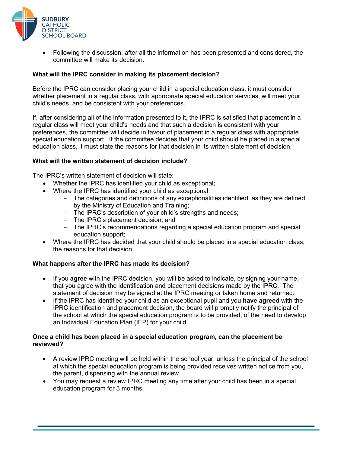

• Following the discussion, after all the information has been presented and considered, the committee will make its decision.

## **What will the IPRC consider in making its placement decision?**

Before the IPRC can consider placing your child in a special education class, it must consider whether placement in a regular class, with appropriate special education services, will meet your child's needs, and be consistent with your preferences.

If, after considering all of the information presented to it, the IPRC is satisfied that placement in a regular class will meet your child's needs and that such a decision is consistent with your preferences, the committee will decide in favour of placement in a regular class with appropriate special education support. If the committee decides that your child should be placed in a special education class, it must state the reasons for that decision in its written statement of decision.

## **What will the written statement of decision include?**

The IPRC's written statement of decision will state:

- Whether the IPRC has identified your child as exceptional;
- Where the IPRC has identified your child as exceptional;
	- The categories and definitions of any exceptionalities identified, as they are defined by the Ministry of Education and Training;
	- The IPRC's description of your child's strengths and needs;
	- The IPRC's placement decision; and
	- The IPRC's recommendations regarding a special education program and special education support;
- Where the IPRC has decided that your child should be placed in a special education class, the reasons for that decision.

## **What happens after the IPRC has made its decision?**

- If you **agree** with the IPRC decision, you will be asked to indicate, by signing your name, that you agree with the identification and placement decisions made by the IPRC. The statement of decision may be signed at the IPRC meeting or taken home and returned.
- If the IPRC has identified your child as an exceptional pupil and you **have agreed** with the IPRC identification and placement decision, the board will promptly notify the principal of the school at which the special education program is to be provided, of the need to develop an Individual Education Plan (IEP) for your child.

## **Once a child has been placed in a special education program, can the placement be reviewed?**

- A review IPRC meeting will be held within the school year, unless the principal of the school at which the special education program is being provided receives written notice from you, the parent, dispensing with the annual review.
- You may request a review IPRC meeting any time after your child has been in a special education program for 3 months.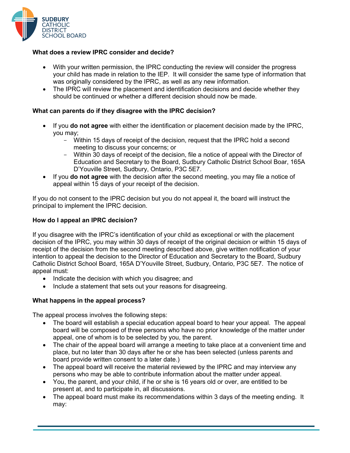

## **What does a review IPRC consider and decide?**

- With your written permission, the IPRC conducting the review will consider the progress your child has made in relation to the IEP. It will consider the same type of information that was originally considered by the IPRC, as well as any new information.
- The IPRC will review the placement and identification decisions and decide whether they should be continued or whether a different decision should now be made.

#### **What can parents do if they disagree with the IPRC decision?**

- If you **do not agree** with either the identification or placement decision made by the IPRC, you may;
	- Within 15 days of receipt of the decision, request that the IPRC hold a second meeting to discuss your concerns; or
	- Within 30 days of receipt of the decision, file a notice of appeal with the Director of Education and Secretary to the Board, Sudbury Catholic District School Boar, 165A D'Youville Street, Sudbury, Ontario, P3C 5E7.
- If you **do not agree** with the decision after the second meeting, you may file a notice of appeal within 15 days of your receipt of the decision.

If you do not consent to the IPRC decision but you do not appeal it, the board will instruct the principal to implement the IPRC decision.

## **How do I appeal an IPRC decision?**

If you disagree with the IPRC's identification of your child as exceptional or with the placement decision of the IPRC, you may within 30 days of receipt of the original decision or within 15 days of receipt of the decision from the second meeting described above, give written notification of your intention to appeal the decision to the Director of Education and Secretary to the Board, Sudbury Catholic District School Board, 165A D'Youville Street, Sudbury, Ontario, P3C 5E7. The notice of appeal must:

- Indicate the decision with which you disagree; and
- Include a statement that sets out your reasons for disagreeing.

## **What happens in the appeal process?**

The appeal process involves the following steps:

- The board will establish a special education appeal board to hear your appeal. The appeal board will be composed of three persons who have no prior knowledge of the matter under appeal, one of whom is to be selected by you, the parent.
- The chair of the appeal board will arrange a meeting to take place at a convenient time and place, but no later than 30 days after he or she has been selected (unless parents and board provide written consent to a later date.)
- The appeal board will receive the material reviewed by the IPRC and may interview any persons who may be able to contribute information about the matter under appeal.
- You, the parent, and your child, if he or she is 16 years old or over, are entitled to be present at, and to participate in, all discussions.
- The appeal board must make its recommendations within 3 days of the meeting ending. It may: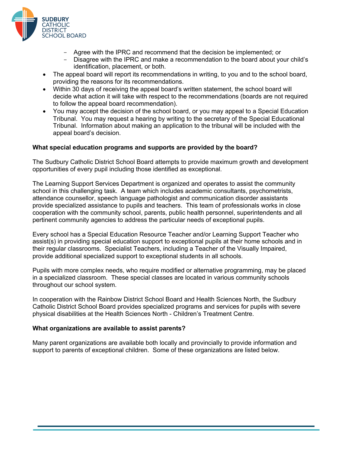

- Agree with the IPRC and recommend that the decision be implemented; or
- Disagree with the IPRC and make a recommendation to the board about your child's identification, placement, or both.
- The appeal board will report its recommendations in writing, to you and to the school board, providing the reasons for its recommendations.
- Within 30 days of receiving the appeal board's written statement, the school board will decide what action it will take with respect to the recommendations (boards are not required to follow the appeal board recommendation).
- You may accept the decision of the school board, or you may appeal to a Special Education Tribunal. You may request a hearing by writing to the secretary of the Special Educational Tribunal. Information about making an application to the tribunal will be included with the appeal board's decision.

## **What special education programs and supports are provided by the board?**

The Sudbury Catholic District School Board attempts to provide maximum growth and development opportunities of every pupil including those identified as exceptional.

The Learning Support Services Department is organized and operates to assist the community school in this challenging task. A team which includes academic consultants, psychometrists, attendance counsellor, speech language pathologist and communication disorder assistants provide specialized assistance to pupils and teachers. This team of professionals works in close cooperation with the community school, parents, public health personnel, superintendents and all pertinent community agencies to address the particular needs of exceptional pupils.

Every school has a Special Education Resource Teacher and/or Learning Support Teacher who assist(s) in providing special education support to exceptional pupils at their home schools and in their regular classrooms. Specialist Teachers, including a Teacher of the Visually Impaired, provide additional specialized support to exceptional students in all schools.

Pupils with more complex needs, who require modified or alternative programming, may be placed in a specialized classroom. These special classes are located in various community schools throughout our school system.

In cooperation with the Rainbow District School Board and Health Sciences North, the Sudbury Catholic District School Board provides specialized programs and services for pupils with severe physical disabilities at the Health Sciences North - Children's Treatment Centre.

#### **What organizations are available to assist parents?**

Many parent organizations are available both locally and provincially to provide information and support to parents of exceptional children. Some of these organizations are listed below.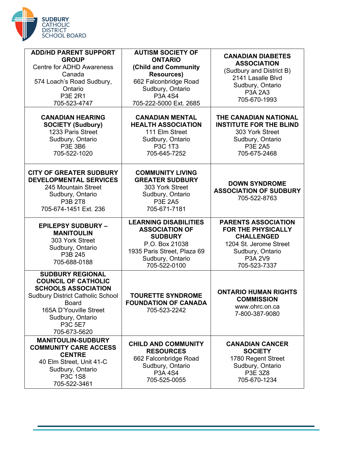

| <b>ADD/HD PARENT SUPPORT</b><br><b>GROUP</b><br><b>Centre for ADHD Awareness</b><br>Canada<br>574 Loach's Road Sudbury,<br>Ontario<br><b>P3E 2R1</b><br>705-523-4747                                             | <b>AUTISM SOCIETY OF</b><br><b>ONTARIO</b><br>(Child and Community<br><b>Resources)</b><br>662 Falconbridge Road<br>Sudbury, Ontario<br>P3A 4S4<br>705-222-5000 Ext. 2685 | <b>CANADIAN DIABETES</b><br><b>ASSOCIATION</b><br>(Sudbury and District B)<br>2141 Lasalle Blvd<br>Sudbury, Ontario<br>P3A 2A3<br>705-670-1993 |
|------------------------------------------------------------------------------------------------------------------------------------------------------------------------------------------------------------------|---------------------------------------------------------------------------------------------------------------------------------------------------------------------------|------------------------------------------------------------------------------------------------------------------------------------------------|
| <b>CANADIAN HEARING</b><br><b>SOCIETY (Sudbury)</b><br>1233 Paris Street<br>Sudbury, Ontario<br>P3E 3B6<br>705-522-1020                                                                                          | <b>CANADIAN MENTAL</b><br><b>HEALTH ASSOCIATION</b><br>111 Elm Street<br>Sudbury, Ontario<br>P3C 1T3<br>705-645-7252                                                      | THE CANADIAN NATIONAL<br><b>INSTITUTE FOR THE BLIND</b><br>303 York Street<br>Sudbury, Ontario<br><b>P3E 2A5</b><br>705-675-2468               |
| <b>CITY OF GREATER SUDBURY</b><br><b>DEVELOPMENTAL SERVICES</b><br>245 Mountain Street<br>Sudbury, Ontario<br>P3B 2T8<br>705-674-1451 Ext. 236                                                                   | <b>COMMUNITY LIVING</b><br><b>GREATER SUDBURY</b><br>303 York Street<br>Sudbury, Ontario<br><b>P3E 2A5</b><br>705-671-7181                                                | <b>DOWN SYNDROME</b><br><b>ASSOCIATION OF SUDBURY</b><br>705-522-8763                                                                          |
| <b>EPILEPSY SUDBURY -</b><br><b>MANITOULIN</b><br>303 York Street<br>Sudbury, Ontario                                                                                                                            | <b>LEARNING DISABILITIES</b><br><b>ASSOCIATION OF</b><br><b>SUDBURY</b><br>P.O. Box 21038                                                                                 | <b>PARENTS ASSOCIATION</b><br><b>FOR THE PHYSICALLY</b><br><b>CHALLENGED</b><br>1204 St. Jerome Street                                         |
| P3B 245<br>705-688-0188                                                                                                                                                                                          | 1935 Paris Street, Plaza 69<br>Sudbury, Ontario<br>705-522-0100                                                                                                           | Sudbury, Ontario<br>P3A 2V9<br>705-523-7337                                                                                                    |
| <b>SUDBURY REGIONAL</b><br><b>COUNCIL OF CATHOLIC</b><br><b>SCHOOLS ASSOCIATION</b><br><b>Sudbury District Catholic School</b><br>Board<br>165A D'Youville Street<br>Sudbury, Ontario<br>P3C 5E7<br>705-673-5620 | <b>TOURETTE SYNDROME</b><br><b>FOUNDATION OF CANADA</b><br>705-523-2242                                                                                                   | <b>ONTARIO HUMAN RIGHTS</b><br><b>COMMISSION</b><br>www.ohrc.on.ca<br>7-800-387-9080                                                           |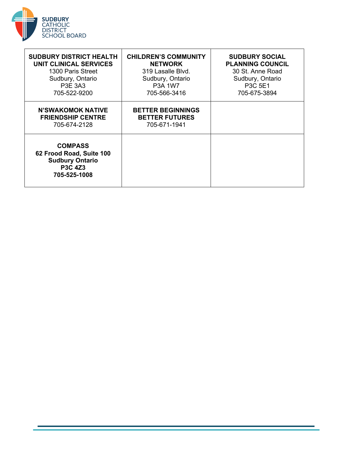

| <b>SUDBURY DISTRICT HEALTH</b><br><b>UNIT CLINICAL SERVICES</b><br>1300 Paris Street<br>Sudbury, Ontario<br>P3E 3A3<br>705-522-9200 | <b>CHILDREN'S COMMUNITY</b><br><b>NETWORK</b><br>319 Lasalle Blvd.<br>Sudbury, Ontario<br><b>P3A 1W7</b><br>705-566-3416 | <b>SUDBURY SOCIAL</b><br><b>PLANNING COUNCIL</b><br>30 St. Anne Road<br>Sudbury, Ontario<br>P3C 5E1<br>705-675-3894 |
|-------------------------------------------------------------------------------------------------------------------------------------|--------------------------------------------------------------------------------------------------------------------------|---------------------------------------------------------------------------------------------------------------------|
| <b>N'SWAKOMOK NATIVE</b><br><b>FRIENDSHIP CENTRE</b><br>705-674-2128                                                                | <b>BETTER BEGINNINGS</b><br><b>BETTER FUTURES</b><br>705-671-1941                                                        |                                                                                                                     |
| <b>COMPASS</b><br>62 Frood Road, Suite 100<br><b>Sudbury Ontario</b><br><b>P3C 4Z3</b><br>705-525-1008                              |                                                                                                                          |                                                                                                                     |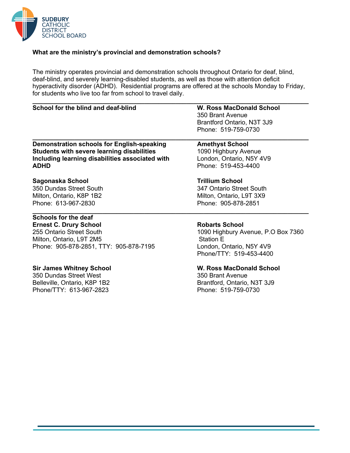

## **What are the ministry's provincial and demonstration schools?**

The ministry operates provincial and demonstration schools throughout Ontario for deaf, blind, deaf-blind, and severely learning-disabled students, as well as those with attention deficit hyperactivity disorder (ADHD). Residential programs are offered at the schools Monday to Friday, for students who live too far from school to travel daily.

## **School for the blind and deaf-blind W. Ross MacDonald School**

**\_\_\_\_\_\_\_\_\_\_\_\_\_\_\_\_\_\_\_\_\_\_\_\_\_\_\_\_\_\_\_\_\_\_\_\_\_\_\_\_\_\_\_\_\_\_\_\_\_\_\_\_\_\_\_\_\_\_\_\_\_\_\_\_\_\_\_\_\_\_\_\_\_\_\_\_\_\_\_** 350 Brant Avenue Brantford Ontario, N3T 3J9 Phone: 519-759-0730

## **Demonstration schools for English-speaking Theory Amethyst School Students with severe learning disabilities** 1090 Highbury Avenue **Including learning disabilities associated with** London, Ontario, N5Y 4V9 **ADHD** Phone: 519-453-4400

## **Sagonaska School Trillium School**

350 Dundas Street South 347 Ontario Street South Milton, Ontario, K8P 1B2 Milton, Ontario, L9T 3X9 Phone: 613-967-2830 Phone: 905-878-2851

#### **\_\_\_\_\_\_\_\_\_\_\_\_\_\_\_\_\_\_\_\_\_\_\_\_\_\_\_\_\_\_\_\_\_\_\_\_\_\_\_\_\_\_\_\_\_\_\_\_\_\_\_\_\_\_\_\_\_\_\_\_\_\_\_\_\_\_\_\_\_\_\_\_\_\_\_\_\_\_\_ Schools for the deaf**

**Ernest C. Drury School Robarts School Robarts School** 255 Ontario Street South 1090 Highbury Avenue, P.O Box 7360 Milton, Ontario, L9T 2M5 Station E Phone: 905-878-2851, TTY: 905-878-7195 London, Ontario, N5Y 4V9

350 Dundas Street West 350 Brant Avenue Belleville, Ontario, K8P 1B2 Brantford, Ontario, N3T 3J9 Phone/TTY: 613-967-2823 Phone: 519-759-0730

# **\_\_\_\_\_\_\_\_\_\_\_\_\_\_\_\_\_\_\_\_\_\_\_\_\_\_\_\_\_\_\_\_\_\_\_\_\_\_\_\_\_\_\_\_\_\_\_\_\_\_\_\_\_\_\_\_\_\_\_\_\_\_\_\_\_\_\_\_\_\_\_\_\_\_\_\_\_\_\_**

Phone/TTY: 519-453-4400

## **Sir James Whitney School W. Ross MacDonald School**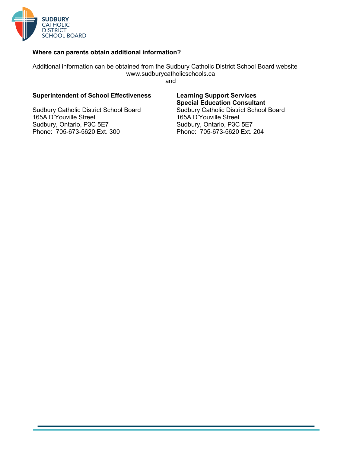

## **Where can parents obtain additional information?**

Additional information can be obtained from the Sudbury Catholic District School Board website www.sudburycatholicschools.ca and

#### **Superintendent of School Effectiveness Learning Support Services**

Sudbury Catholic District School Board<br>165A D'Youville Street 165A D'Youville Street 165A D'Youville Street 165A D'Youville Street Sudbury, Ontario, P3C 5E7 Sudbury, Ontario, P3C 5E7 Phone: 705-673-5620 Ext. 300 Phone: 705-673-5620 Ext. 204

**Special Education Consultant**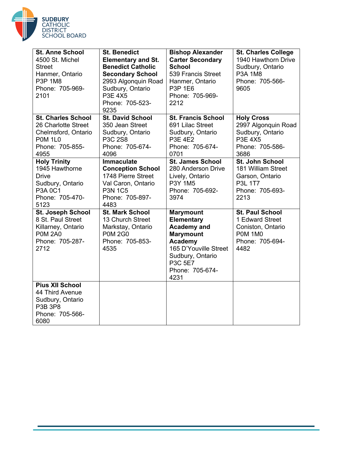

| <b>St. Anne School</b><br>4500 St. Michel<br><b>Street</b><br>Hanmer, Ontario<br><b>P3P 1M8</b><br>Phone: 705-969-<br>2101 | <b>St. Benedict</b><br><b>Elementary and St.</b><br><b>Benedict Catholic</b><br><b>Secondary School</b><br>2993 Algonquin Road<br>Sudbury, Ontario<br><b>P3E 4X5</b><br>Phone: 705-523-<br>9235 | <b>Bishop Alexander</b><br><b>Carter Secondary</b><br><b>School</b><br>539 Francis Street<br>Hanmer, Ontario<br><b>P3P 1E6</b><br>Phone: 705-969-<br>2212                            | <b>St. Charles College</b><br>1940 Hawthorn Drive<br>Sudbury, Ontario<br><b>P3A 1M8</b><br>Phone: 705-566-<br>9605 |
|----------------------------------------------------------------------------------------------------------------------------|-------------------------------------------------------------------------------------------------------------------------------------------------------------------------------------------------|--------------------------------------------------------------------------------------------------------------------------------------------------------------------------------------|--------------------------------------------------------------------------------------------------------------------|
| <b>St. Charles School</b><br>26 Charlotte Street<br>Chelmsford, Ontario<br><b>P0M 1L0</b><br>Phone: 705-855-<br>4955       | <b>St. David School</b><br>350 Jean Street<br>Sudbury, Ontario<br>P3C 2S8<br>Phone: 705-674-<br>4096                                                                                            | <b>St. Francis School</b><br>691 Lilac Street<br>Sudbury, Ontario<br><b>P3E 4E2</b><br>Phone: 705-674-<br>0701                                                                       | <b>Holy Cross</b><br>2997 Algonquin Road<br>Sudbury, Ontario<br><b>P3E 4X5</b><br>Phone: 705-586-<br>3686          |
| <b>Holy Trinity</b><br>1945 Hawthorne<br><b>Drive</b><br>Sudbury, Ontario<br><b>P3A 0C1</b><br>Phone: 705-470-<br>5123     | <b>Immaculate</b><br><b>Conception School</b><br>1748 Pierre Street<br>Val Caron, Ontario<br><b>P3N 1C5</b><br>Phone: 705-897-<br>4483                                                          | <b>St. James School</b><br>280 Anderson Drive<br>Lively, Ontario<br>P3Y 1M5<br>Phone: 705-692-<br>3974                                                                               | St. John School<br>181 William Street<br>Garson, Ontario<br>P3L 1T7<br>Phone: 705-693-<br>2213                     |
| St. Joseph School<br>8 St. Paul Street<br>Killarney, Ontario<br><b>P0M 2A0</b><br>Phone: 705-287-<br>2712                  | <b>St. Mark School</b><br>13 Church Street<br>Markstay, Ontario<br><b>P0M 2G0</b><br>Phone: 705-853-<br>4535                                                                                    | <b>Marymount</b><br><b>Elementary</b><br><b>Academy and</b><br><b>Marymount</b><br><b>Academy</b><br>165 D'Youville Street<br>Sudbury, Ontario<br>P3C 5E7<br>Phone: 705-674-<br>4231 | <b>St. Paul School</b><br>1 Edward Street<br>Coniston, Ontario<br><b>P0M 1M0</b><br>Phone: 705-694-<br>4482        |
| <b>Pius XII School</b><br>44 Third Avenue<br>Sudbury, Ontario<br>P3B 3P8<br>Phone: 705-566-<br>6080                        |                                                                                                                                                                                                 |                                                                                                                                                                                      |                                                                                                                    |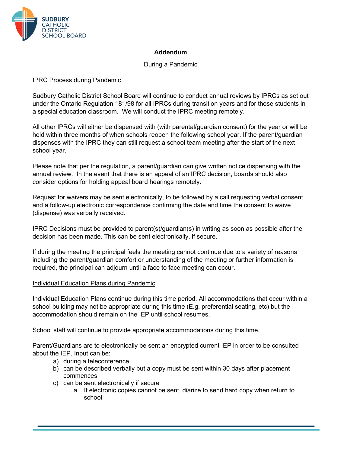

## **Addendum**

## During a Pandemic

## IPRC Process during Pandemic

Sudbury Catholic District School Board will continue to conduct annual reviews by IPRCs as set out under the Ontario Regulation 181/98 for all IPRCs during transition years and for those students in a special education classroom. We will conduct the IPRC meeting remotely.

All other IPRCs will either be dispensed with (with parental/guardian consent) for the year or will be held within three months of when schools reopen the following school year. If the parent/guardian dispenses with the IPRC they can still request a school team meeting after the start of the next school year.

Please note that per the regulation, a parent/guardian can give written notice dispensing with the annual review. In the event that there is an appeal of an IPRC decision, boards should also consider options for holding appeal board hearings remotely.

Request for waivers may be sent electronically, to be followed by a call requesting verbal consent and a follow-up electronic correspondence confirming the date and time the consent to waive (dispense) was verbally received.

IPRC Decisions must be provided to parent(s)/guardian(s) in writing as soon as possible after the decision has been made. This can be sent electronically, if secure.

If during the meeting the principal feels the meeting cannot continue due to a variety of reasons including the parent/guardian comfort or understanding of the meeting or further information is required, the principal can adjourn until a face to face meeting can occur.

## Individual Education Plans during Pandemic

Individual Education Plans continue during this time period. All accommodations that occur within a school building may not be appropriate during this time (E.g. preferential seating, etc) but the accommodation should remain on the IEP until school resumes.

School staff will continue to provide appropriate accommodations during this time.

Parent/Guardians are to electronically be sent an encrypted current IEP in order to be consulted about the IEP. Input can be:

- a) during a teleconference
- b) can be described verbally but a copy must be sent within 30 days after placement commences
- c) can be sent electronically if secure
	- a. If electronic copies cannot be sent, diarize to send hard copy when return to school